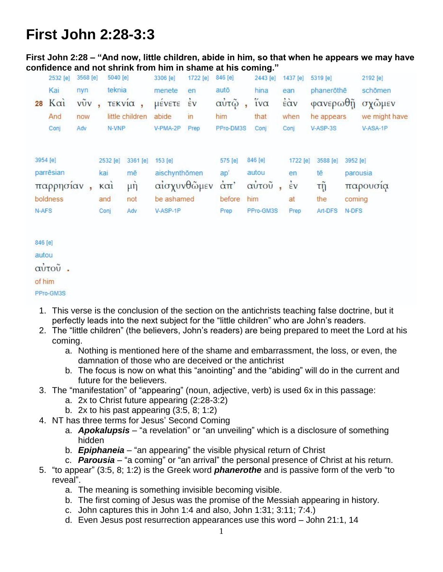# **First John 2:28-3:3**

**First John 2:28 – "And now, little children, abide in him, so that when he appears we may have confidence and not shrink from him in shame at his coming."** 

|                   | 2532 [e]                           | 3568 [e]   | 5040 [e]                                          |                                         | 3306 [e]                                                          | 1722 [e] | 846 [e]                                              |                                               | 2443 [e] | 1437 [e]                                            | 5319 [e]                               |                             | 2192 [e]             |
|-------------------|------------------------------------|------------|---------------------------------------------------|-----------------------------------------|-------------------------------------------------------------------|----------|------------------------------------------------------|-----------------------------------------------|----------|-----------------------------------------------------|----------------------------------------|-----------------------------|----------------------|
| 28                | Kai<br>Kai                         | nyn<br>vũv | teknia                                            | <b>ΤΕΚ VΙα</b> ,                        | menete<br>μένετε                                                  | en<br>έv | autō<br>αὐτῷ                                         | hina<br>ίνα                                   |          | ean<br>έὰν                                          | phanerothe<br>φανερωθῆ                 |                             | schömen<br>σχῶμεν    |
|                   | And                                | now        |                                                   | little children                         | abide                                                             | in       | him                                                  | that                                          |          | when                                                | he appears                             |                             | we might have        |
|                   | Conj                               | Adv        | N-VNP                                             |                                         | V-PMA-2P                                                          | Prep     | PPro-DM3S                                            | Conj                                          |          | Conj                                                | V-ASP-3S                               |                             | V-ASA-1P             |
| 3954 [e]<br>N-AFS | parrēsian<br>παρρησίαν<br>boldness |            | 2532 [e]<br>kai<br>K <sub>α1</sub><br>and<br>Conj | 3361 [e]<br>mē<br>$\mu$ ŋ<br>not<br>Adv | 153 [e]<br>aischynthömen<br>αίσχυνθώμεν<br>be ashamed<br>V-ASP-1P |          | 575 [e]<br>ap'<br>$\alpha$ $\pi$ '<br>before<br>Prep | 846 [e]<br>autou<br>αύτοῦ<br>him<br>PPro-GM3S |          | 1722 [e]<br>en.<br>$\dot{\epsilon}$ v<br>at<br>Prep | 3588 [e]<br>tē<br>τņ<br>the<br>Art-DFS | 3952 [e]<br>coming<br>N-DFS | parousia<br>παρουσια |

846 [e]

autou

αὐτοῦ.

of him

PPro-GM3S

- 1. This verse is the conclusion of the section on the antichrists teaching false doctrine, but it perfectly leads into the next subject for the "little children" who are John's readers.
- 2. The "little children" (the believers, John's readers) are being prepared to meet the Lord at his coming.
	- a. Nothing is mentioned here of the shame and embarrassment, the loss, or even, the damnation of those who are deceived or the antichrist
	- b. The focus is now on what this "anointing" and the "abiding" will do in the current and future for the believers.

### 3. The "manifestation" of "appearing" (noun, adjective, verb) is used 6x in this passage:

- a. 2x to Christ future appearing (2:28-3:2)
- b. 2x to his past appearing  $(3.5, 8, 1.2)$
- 4. NT has three terms for Jesus' Second Coming
	- a. *Apokalupsis* "a revelation" or "an unveiling" which is a disclosure of something hidden
	- b. *Epiphaneia* "an appearing" the visible physical return of Christ
	- c. *Parousia* "a coming" or "an arrival" the personal presence of Christ at his return.
- 5. "to appear" (3:5, 8; 1:2) is the Greek word *phanerothe* and is passive form of the verb "to reveal".
	- a. The meaning is something invisible becoming visible.
	- b. The first coming of Jesus was the promise of the Messiah appearing in history.
	- c. John captures this in John 1:4 and also, John 1:31; 3:11; 7:4.)
	- d. Even Jesus post resurrection appearances use this word John 21:1, 14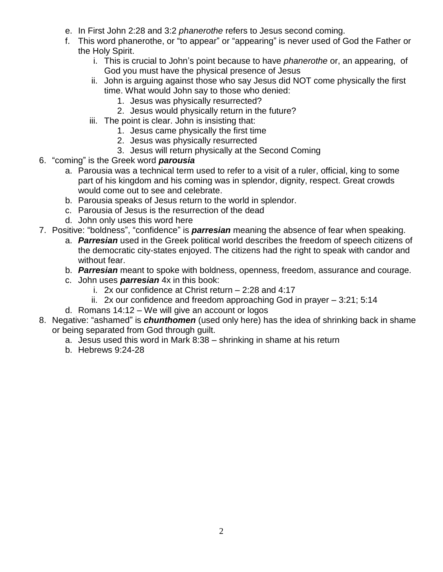- e. In First John 2:28 and 3:2 *phanerothe* refers to Jesus second coming.
- f. This word phanerothe, or "to appear" or "appearing" is never used of God the Father or the Holy Spirit.
	- i. This is crucial to John's point because to have *phanerothe* or, an appearing, of God you must have the physical presence of Jesus
	- ii. John is arguing against those who say Jesus did NOT come physically the first time. What would John say to those who denied:
		- 1. Jesus was physically resurrected?
		- 2. Jesus would physically return in the future?
	- iii. The point is clear. John is insisting that:
		- 1. Jesus came physically the first time
		- 2. Jesus was physically resurrected
		- 3. Jesus will return physically at the Second Coming
- 6. "coming" is the Greek word *parousia*
	- a. Parousia was a technical term used to refer to a visit of a ruler, official, king to some part of his kingdom and his coming was in splendor, dignity, respect. Great crowds would come out to see and celebrate.
	- b. Parousia speaks of Jesus return to the world in splendor.
	- c. Parousia of Jesus is the resurrection of the dead
	- d. John only uses this word here
- 7. Positive: "boldness", "confidence" is *parresian* meaning the absence of fear when speaking.
	- a. *Parresian* used in the Greek political world describes the freedom of speech citizens of the democratic city-states enjoyed. The citizens had the right to speak with candor and without fear.
	- b. *Parresian* meant to spoke with boldness, openness, freedom, assurance and courage.
	- c. John uses *parresian* 4x in this book:
		- i. 2x our confidence at Christ return 2:28 and 4:17
		- ii. 2x our confidence and freedom approaching God in prayer 3:21; 5:14
	- d. Romans 14:12 We will give an account or logos
- 8. Negative: "ashamed" is *chunthomen* (used only here) has the idea of shrinking back in shame or being separated from God through guilt.
	- a. Jesus used this word in Mark 8:38 shrinking in shame at his return
	- b. Hebrews 9:24-28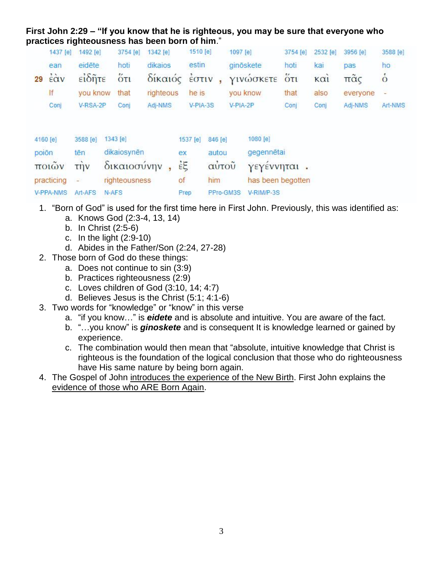#### **First John 2:29 – "If you know that he is righteous, you may be sure that everyone who practices righteousness has been born of him**."

|          | 1437 [e]               | 1492 [e]                                                      | 3754 [e]      | 1342 [e]  | 1510 [e]     |           | 1097 [e]          | 3754 [e]                        | 2532 [e] | 3956 [e]       | 3588 [e]      |
|----------|------------------------|---------------------------------------------------------------|---------------|-----------|--------------|-----------|-------------------|---------------------------------|----------|----------------|---------------|
|          | ean                    | eidēte                                                        | hoti          | dikaios   | estin        |           | ginöskete         | hoti                            | kai      | pas            | ho            |
| 29       | $\frac{2}{5}$ $\alpha$ | $\epsilon$ <sup>i</sup> $\delta$ $\tilde{\eta}$ <sup>TE</sup> | $5\pi$        | δίκαιός   | <b>ÉOTIV</b> |           | ΥΙνώσκετε         | $\ddot{\text{o}}$ <sub>Tl</sub> | καί      | $π\tilde{α}$ ς | $\dot{\circ}$ |
|          | If                     | you know                                                      | that          | righteous | he is        |           | you know          | that                            | also     | everyone       |               |
|          | Conj                   | V-RSA-2P                                                      | Conj          | Adj-NMS   | V-PIA-3S     |           | V-PIA-2P          | Conj                            | Conj     | Adj-NMS        | Art-NMS       |
| 4160 [e] |                        | 3588 [e]                                                      | 1343 [e]      |           | 1537 [e]     | 846 [e]   | 1080 [e]          |                                 |          |                |               |
| poiōn    |                        | tēn                                                           | dikaiosynēn   |           | ex           | autou     | gegennētai        |                                 |          |                |               |
|          | ποιών                  | $\overline{u}$                                                | δικαιοσύνην   |           | έξ           | αὐτοῦ     | γεγεννηται.       |                                 |          |                |               |
|          | practicing             |                                                               | righteousness |           | of           | him       | has been begotten |                                 |          |                |               |
|          | V-PPA-NMS              | Art-AFS                                                       | N-AFS         |           | Prep         | PPro-GM3S | V-RIM/P-3S        |                                 |          |                |               |

- 1. "Born of God" is used for the first time here in First John. Previously, this was identified as:
	- a. Knows God (2:3-4, 13, 14)
	- b. In Christ (2:5-6)
	- c. In the light (2:9-10)
	- d. Abides in the Father/Son (2:24, 27-28)
- 2. Those born of God do these things:
	- a. Does not continue to sin (3:9)
	- b. Practices righteousness (2:9)
	- c. Loves children of God (3:10, 14; 4:7)
	- d. Believes Jesus is the Christ (5:1; 4:1-6)
- 3. Two words for "knowledge" or "know" in this verse
	- a. "if you know…" is *eidete* and is absolute and intuitive. You are aware of the fact.
	- b. "…you know" is *ginoskete* and is consequent It is knowledge learned or gained by experience.
	- c. The combination would then mean that "absolute, intuitive knowledge that Christ is righteous is the foundation of the logical conclusion that those who do righteousness have His same nature by being born again.
- 4. The Gospel of John introduces the experience of the New Birth. First John explains the evidence of those who ARE Born Again.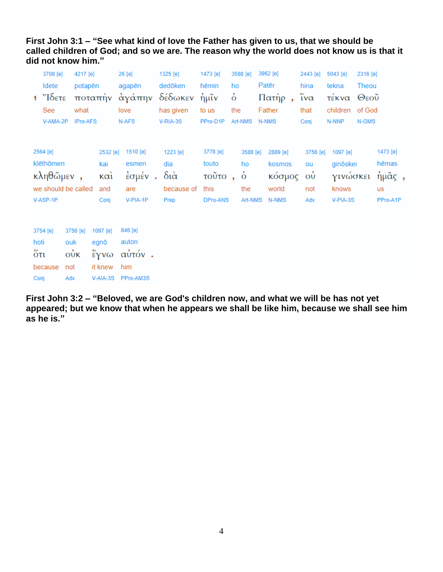#### **First John 3:1 – "See what kind of love the Father has given to us, that we should be called children of God; and so we are. The reason why the world does not know us is that it did not know him."**

|      | 3708 [e]                | 4217 [e]        |         |          | 26 [e]              | 1325 [e]               | 1473 [e] |                | 3588 [e]       | 3962 [e] | 2443 [e]               | 5043 [e] | 2316 [e] |           |  |
|------|-------------------------|-----------------|---------|----------|---------------------|------------------------|----------|----------------|----------------|----------|------------------------|----------|----------|-----------|--|
|      | Idete                   |                 | potapēn |          | agapēn              | dedōken                | hēmin    | ho             |                | Patēr    | hina                   | tekna    | Theou    |           |  |
|      | $1$ $\sqrt{6}$          |                 |         |          |                     | ποταπὴν ἀγάπην δέδωκεν | ήμῖν     | $\dot{\delta}$ |                | Πατήρ,   | $\tilde{i} \nu \alpha$ | τέκνα    | Θεοῦ     |           |  |
|      | See                     | what            |         |          | love                | has given              | to us    | the            |                | Father   | that                   | children | of God   |           |  |
|      | V-AMA-2P                | <b>IPro-AFS</b> |         |          | N-AFS               | V-RIA-3S               | PPro-D1P |                | Art-NMS        | N-NMS    | Conj                   | N-NNP    | N-GMS    |           |  |
|      |                         |                 |         |          |                     |                        |          |                |                |          |                        |          |          |           |  |
|      | 2564 [e]                |                 |         | 2532 [e] | 1510 [e]            | 1223 [e]               | 3778 [e] |                | 3588 [e]       | 2889 [e] | 3756 [e]               | 1097 [e] |          | 1473 [e]  |  |
|      | klēthōmen               |                 |         | kai      | esmen               | dia                    | touto    |                | ho             | kosmos   | ou                     | ginöskei |          | hēmas     |  |
|      | $\kappa\lambda$ ηθώμεν, |                 |         | καὶ      | $\frac{1}{2}$ σμέν. | $\delta$ ιά            | τοῦτο,   |                | $\dot{\delta}$ | κόσμος   | $\vec{\omega}$         | γινώσκει |          | ήμᾶς,     |  |
|      | we should be called     |                 |         | and      | are                 | because of             | this     |                | the            | world    | not                    | knows    |          | <b>us</b> |  |
|      | V-ASP-1P                |                 |         | Conj     | V-PIA-1P            | Prep                   | DPro-ANS |                | Art-NMS        | N-NMS    | Adv                    | V-PIA-3S |          | PPro-A1P  |  |
|      |                         |                 |         |          |                     |                        |          |                |                |          |                        |          |          |           |  |
|      | 3754 [e]                | 3756 [e]        |         | 1097 [e] | 846 [e]             |                        |          |                |                |          |                        |          |          |           |  |
| hoti |                         | ouk             | egnō    |          | auton               |                        |          |                |                |          |                        |          |          |           |  |
| őτι  |                         | $\vec{\omega}$  |         | ἔγνω     | αὐτόν.              |                        |          |                |                |          |                        |          |          |           |  |
|      | because                 | not             |         | it knew  | him                 |                        |          |                |                |          |                        |          |          |           |  |
| Conj |                         | Adv             |         | V-AIA-3S | PPro-AM3S           |                        |          |                |                |          |                        |          |          |           |  |

**First John 3:2 – "Beloved, we are God's children now, and what we will be has not yet appeared; but we know that when he appears we shall be like him, because we shall see him as he is."**